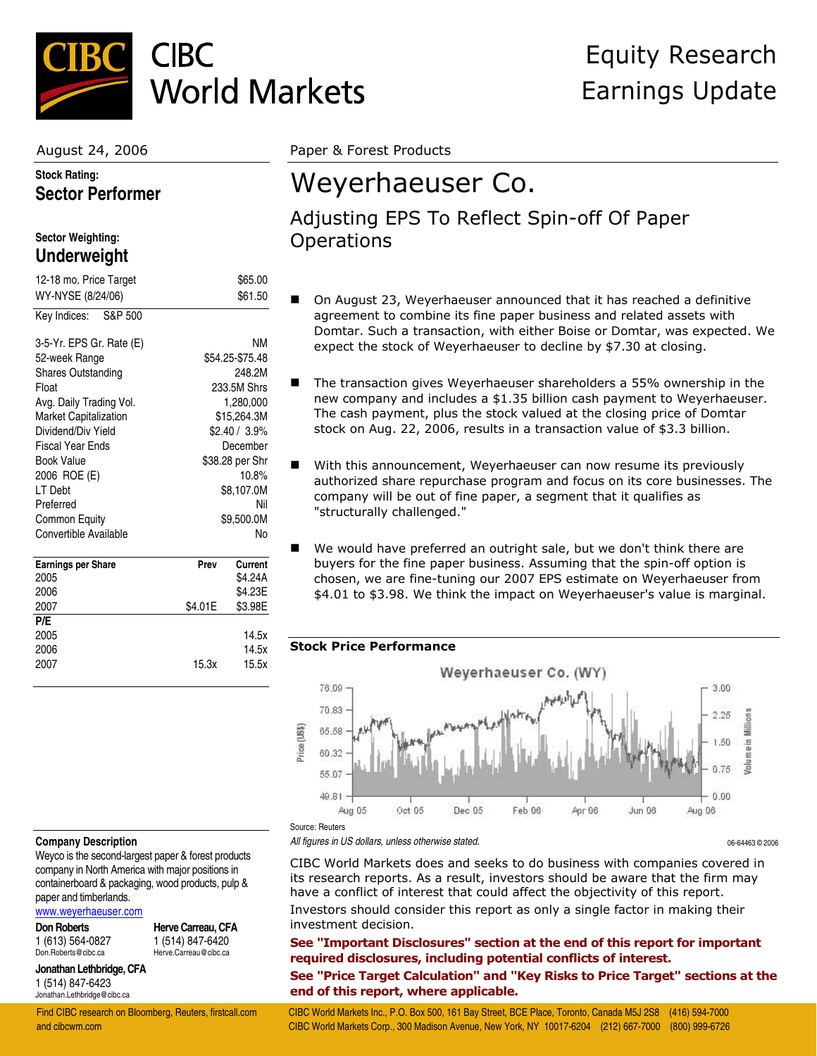

## **CIBC World Markets**

## **Stock Rating: Sector Performer**

#### **Sector Weighting: Underweight**

| 12-18 mo. Price Target    | \$65.00         |
|---------------------------|-----------------|
| WY-NYSE (8/24/06)         | \$61.50         |
| S&P 500<br>Key Indices:   |                 |
| 3-5-Yr. EPS Gr. Rate (E)  | ΝM              |
| 52-week Range             | \$54.25-\$75.48 |
| <b>Shares Outstanding</b> | 248.2M          |
| Float                     | 233.5M Shrs     |
| Avg. Daily Trading Vol.   | 1,280,000       |
| Market Capitalization     | \$15,264.3M     |
| Dividend/Div Yield        | \$2.40 / 3.9%   |
| <b>Fiscal Year Ends</b>   | December        |
| <b>Book Value</b>         | \$38.28 per Shr |
| 2006 ROE (E)              | 10.8%           |
| LT Debt                   | \$8,107.0M      |
| Preferred                 | Nil             |
| Common Equity             | \$9,500.0M      |
| Convertible Available     | No              |
| <b>Earnings per Share</b> | Current<br>Prev |
| 2005                      | \$4.24A         |
| 2006                      | \$4.23E         |

| 2007 | \$4.01E | \$3.98E |
|------|---------|---------|
| P/E  |         |         |
| 2005 |         | 14.5x   |
| 2006 |         | 14.5x   |
| 2007 | 15.3x   | 15.5x   |
|      |         |         |

August 24, 2006 Paper & Forest Products

# Weyerhaeuser Co.

## Adjusting EPS To Reflect Spin-off Of Paper **Operations**

- On August 23, Weyerhaeuser announced that it has reached a definitive agreement to combine its fine paper business and related assets with Domtar. Such a transaction, with either Boise or Domtar, was expected. We expect the stock of Weyerhaeuser to decline by \$7.30 at closing.
- The transaction gives Weyerhaeuser shareholders a 55% ownership in the new company and includes a \$1.35 billion cash payment to Weyerhaeuser. The cash payment, plus the stock valued at the closing price of Domtar stock on Aug. 22, 2006, results in a transaction value of \$3.3 billion.
- With this announcement, Weyerhaeuser can now resume its previously authorized share repurchase program and focus on its core businesses. The company will be out of fine paper, a segment that it qualifies as "structurally challenged."
- We would have preferred an outright sale, but we don't think there are buyers for the fine paper business. Assuming that the spin-off option is chosen, we are fine-tuning our 2007 EPS estimate on Weyerhaeuser from \$4.01 to \$3.98. We think the impact on Weyerhaeuser's value is marginal.

### **Stock Price Performance**



#### **Company Description**

Weyco is the second-largest paper & forest products company in North America with major positions in containerboard & packaging, wood products, pulp & paper and timberlands.

[www.weyerhaeuser.com](http://www.weyerhaeuser.com/)

**Don Roberts** 1 (613) 564-0827 Don.Roberts@cibc.ca

**Herve Carreau, CFA** 1 (514) 847-6420 Herve.Carreau@cibc.ca

### **Jonathan Lethbridge, CFA** 1 (514) 847-6423

Jonathan.Lethbridge@cibc.ca

*All figures in US dollars, unless otherwise stated.* 06-64463 © 2006

CIBC World Markets does and seeks to do business with companies covered in its research reports. As a result, investors should be aware that the firm may have a conflict of interest that could affect the objectivity of this report. Investors should consider this report as only a single factor in making their investment decision.

**See "Important Disclosures" section at the end of this report for important required disclosures, including potential conflicts of interest.** 

**See "Price Target Calculation" and "Key Risks to Price Target" sections at the end of this report, where applicable.** 

Find CIBC research on Bloomberg, Reuters, firstcall.com CIBC World Markets Inc., P.O. Box 500, 161 Bay Street, BCE Place, Toronto, Canada M5J 2S8 (416) 594-7000 and cibcwm.com CIBC World Markets Corp., 300 Madison Avenue, New York, NY 10017-6204 (212) 667-7000 (800) 999-6726

## Equity Research Earnings Update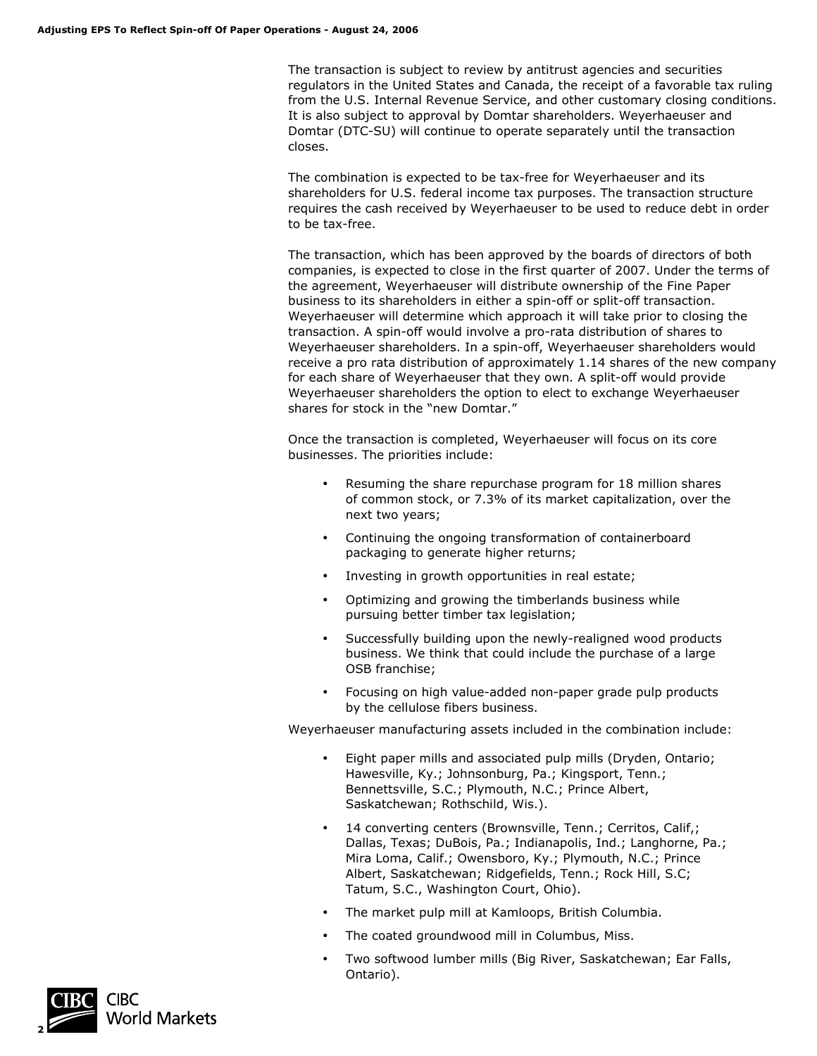The transaction is subject to review by antitrust agencies and securities regulators in the United States and Canada, the receipt of a favorable tax ruling from the U.S. Internal Revenue Service, and other customary closing conditions. It is also subject to approval by Domtar shareholders. Weyerhaeuser and Domtar (DTC-SU) will continue to operate separately until the transaction closes.

The combination is expected to be tax-free for Weyerhaeuser and its shareholders for U.S. federal income tax purposes. The transaction structure requires the cash received by Weyerhaeuser to be used to reduce debt in order to be tax-free.

The transaction, which has been approved by the boards of directors of both companies, is expected to close in the first quarter of 2007. Under the terms of the agreement, Weyerhaeuser will distribute ownership of the Fine Paper business to its shareholders in either a spin-off or split-off transaction. Weyerhaeuser will determine which approach it will take prior to closing the transaction. A spin-off would involve a pro-rata distribution of shares to Weyerhaeuser shareholders. In a spin-off, Weyerhaeuser shareholders would receive a pro rata distribution of approximately 1.14 shares of the new company for each share of Weyerhaeuser that they own. A split-off would provide Weyerhaeuser shareholders the option to elect to exchange Weyerhaeuser shares for stock in the "new Domtar."

Once the transaction is completed, Weyerhaeuser will focus on its core businesses. The priorities include:

- Resuming the share repurchase program for 18 million shares of common stock, or 7.3% of its market capitalization, over the next two years;
- Continuing the ongoing transformation of containerboard packaging to generate higher returns;
- Investing in growth opportunities in real estate;
- Optimizing and growing the timberlands business while pursuing better timber tax legislation;
- Successfully building upon the newly-realigned wood products business. We think that could include the purchase of a large OSB franchise;
- Focusing on high value-added non-paper grade pulp products by the cellulose fibers business.

Weyerhaeuser manufacturing assets included in the combination include:

- Eight paper mills and associated pulp mills (Dryden, Ontario; Hawesville, Ky.; Johnsonburg, Pa.; Kingsport, Tenn.; Bennettsville, S.C.; Plymouth, N.C.; Prince Albert, Saskatchewan; Rothschild, Wis.).
- 14 converting centers (Brownsville, Tenn.; Cerritos, Calif,; Dallas, Texas; DuBois, Pa.; Indianapolis, Ind.; Langhorne, Pa.; Mira Loma, Calif.; Owensboro, Ky.; Plymouth, N.C.; Prince Albert, Saskatchewan; Ridgefields, Tenn.; Rock Hill, S.C; Tatum, S.C., Washington Court, Ohio).
- The market pulp mill at Kamloops, British Columbia.
- The coated groundwood mill in Columbus, Miss.
- Two softwood lumber mills (Big River, Saskatchewan; Ear Falls, Ontario).

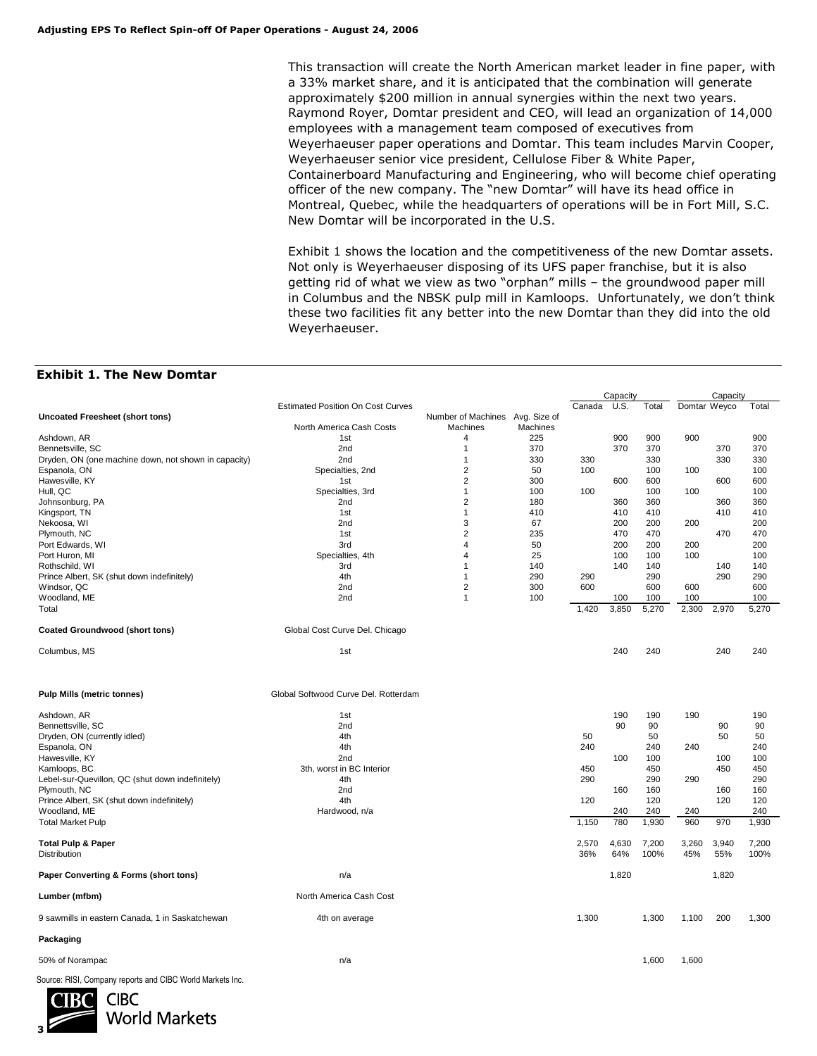This transaction will create the North American market leader in fine paper, with a 33% market share, and it is anticipated that the combination will generate approximately \$200 million in annual synergies within the next two years. Raymond Royer, Domtar president and CEO, will lead an organization of 14,000 employees with a management team composed of executives from Weyerhaeuser paper operations and Domtar. This team includes Marvin Cooper, Weyerhaeuser senior vice president, Cellulose Fiber & White Paper, Containerboard Manufacturing and Engineering, who will become chief operating officer of the new company. The "new Domtar" will have its head office in Montreal, Quebec, while the headquarters of operations will be in Fort Mill, S.C. New Domtar will be incorporated in the U.S.

Exhibit 1 shows the location and the competitiveness of the new Domtar assets. Not only is Weyerhaeuser disposing of its UFS paper franchise, but it is also getting rid of what we view as two "orphan" mills – the groundwood paper mill in Columbus and the NBSK pulp mill in Kamloops. Unfortunately, we don't think these two facilities fit any better into the new Domtar than they did into the old Weyerhaeuser.

#### **Exhibit 1. The New Domtar**

|                                                           |                                          |                                 |          | Capacity |       |       | Capacity     |       |       |
|-----------------------------------------------------------|------------------------------------------|---------------------------------|----------|----------|-------|-------|--------------|-------|-------|
|                                                           | <b>Estimated Position On Cost Curves</b> |                                 |          | Canada   | U.S.  | Total | Domtar Weyco |       | Total |
| <b>Uncoated Freesheet (short tons)</b>                    |                                          | Number of Machines Avg. Size of |          |          |       |       |              |       |       |
|                                                           | North America Cash Costs                 | Machines                        | Machines |          |       |       |              |       |       |
| Ashdown, AR                                               | 1st                                      | 4                               | 225      |          | 900   | 900   | 900          |       | 900   |
| Bennetsville, SC                                          | 2 <sub>nd</sub>                          | 1                               | 370      |          | 370   | 370   |              | 370   | 370   |
| Dryden, ON (one machine down, not shown in capacity)      | 2 <sub>nd</sub>                          | $\mathbf{1}$                    | 330      | 330      |       | 330   |              | 330   | 330   |
| Espanola, ON                                              | Specialties, 2nd                         | 2                               | 50       | 100      |       | 100   | 100          |       | 100   |
| Hawesville, KY                                            | 1st                                      | $\overline{2}$                  | 300      |          | 600   | 600   |              | 600   | 600   |
| Hull, QC                                                  | Specialties, 3rd                         | $\mathbf{1}$                    | 100      | 100      |       | 100   | 100          |       | 100   |
| Johnsonburg, PA                                           | 2nd                                      | 2                               | 180      |          | 360   | 360   |              | 360   | 360   |
| Kingsport, TN                                             | 1st                                      | 1                               | 410      |          | 410   | 410   |              | 410   | 410   |
| Nekoosa, WI                                               | 2nd                                      | 3                               | 67       |          | 200   | 200   | 200          |       | 200   |
| Plymouth, NC                                              | 1st                                      | 2                               | 235      |          | 470   | 470   |              | 470   | 470   |
|                                                           |                                          | 4                               |          |          |       |       |              |       |       |
| Port Edwards, WI                                          | 3rd                                      |                                 | 50       |          | 200   | 200   | 200          |       | 200   |
| Port Huron, MI                                            | Specialties, 4th                         | 4                               | 25       |          | 100   | 100   | 100          |       | 100   |
| Rothschild, WI                                            | 3rd                                      | 1                               | 140      |          | 140   | 140   |              | 140   | 140   |
| Prince Albert, SK (shut down indefinitely)                | 4th                                      | $\mathbf{1}$                    | 290      | 290      |       | 290   |              | 290   | 290   |
| Windsor, QC                                               | 2nd                                      | 2                               | 300      | 600      |       | 600   | 600          |       | 600   |
| Woodland, ME                                              | 2 <sub>nd</sub>                          | $\mathbf{1}$                    | 100      |          | 100   | 100   | 100          |       | 100   |
| Total                                                     |                                          |                                 |          | 1,420    | 3,850 | 5,270 | 2,300        | 2,970 | 5,270 |
|                                                           |                                          |                                 |          |          |       |       |              |       |       |
| <b>Coated Groundwood (short tons)</b>                     | Global Cost Curve Del. Chicago           |                                 |          |          |       |       |              |       |       |
| Columbus, MS                                              | 1st                                      |                                 |          |          | 240   | 240   |              | 240   | 240   |
|                                                           | Global Softwood Curve Del. Rotterdam     |                                 |          |          |       |       |              |       |       |
| <b>Pulp Mills (metric tonnes)</b>                         |                                          |                                 |          |          |       |       |              |       |       |
| Ashdown, AR                                               | 1st                                      |                                 |          |          | 190   | 190   | 190          |       | 190   |
| Bennettsville, SC                                         | 2nd                                      |                                 |          |          | 90    | 90    |              | 90    | 90    |
| Dryden, ON (currently idled)                              | 4th                                      |                                 |          | 50       |       | 50    |              | 50    | 50    |
| Espanola, ON                                              | 4th                                      |                                 |          | 240      |       | 240   | 240          |       | 240   |
| Hawesville, KY                                            | 2nd                                      |                                 |          |          | 100   | 100   |              | 100   | 100   |
| Kamloops, BC                                              | 3th, worst in BC Interior                |                                 |          | 450      |       | 450   |              | 450   | 450   |
| Lebel-sur-Quevillon, QC (shut down indefinitely)          | 4th                                      |                                 |          | 290      |       | 290   | 290          |       | 290   |
| Plymouth, NC                                              | 2nd                                      |                                 |          |          | 160   | 160   |              | 160   | 160   |
| Prince Albert, SK (shut down indefinitely)                | 4th                                      |                                 |          | 120      |       | 120   |              | 120   | 120   |
| Woodland, ME                                              | Hardwood, n/a                            |                                 |          |          | 240   | 240   | 240          |       | 240   |
| <b>Total Market Pulp</b>                                  |                                          |                                 |          | 1,150    | 780   | 1,930 | 960          | 970   | 1,930 |
|                                                           |                                          |                                 |          |          |       |       |              |       |       |
| <b>Total Pulp &amp; Paper</b>                             |                                          |                                 |          | 2,570    | 4,630 | 7,200 | 3,260        | 3,940 | 7,200 |
| Distribution                                              |                                          |                                 |          | 36%      | 64%   | 100%  | 45%          | 55%   | 100%  |
| Paper Converting & Forms (short tons)                     | n/a                                      |                                 |          |          | 1,820 |       |              | 1,820 |       |
| Lumber (mfbm)                                             | North America Cash Cost                  |                                 |          |          |       |       |              |       |       |
| 9 sawmills in eastern Canada, 1 in Saskatchewan           | 4th on average                           |                                 |          | 1,300    |       | 1,300 | 1,100        | 200   | 1,300 |
| Packaging                                                 |                                          |                                 |          |          |       |       |              |       |       |
| 50% of Norampac                                           | n/a                                      |                                 |          |          |       | 1,600 | 1,600        |       |       |
| Source: RISI, Company reports and CIBC World Markets Inc. |                                          |                                 |          |          |       |       |              |       |       |

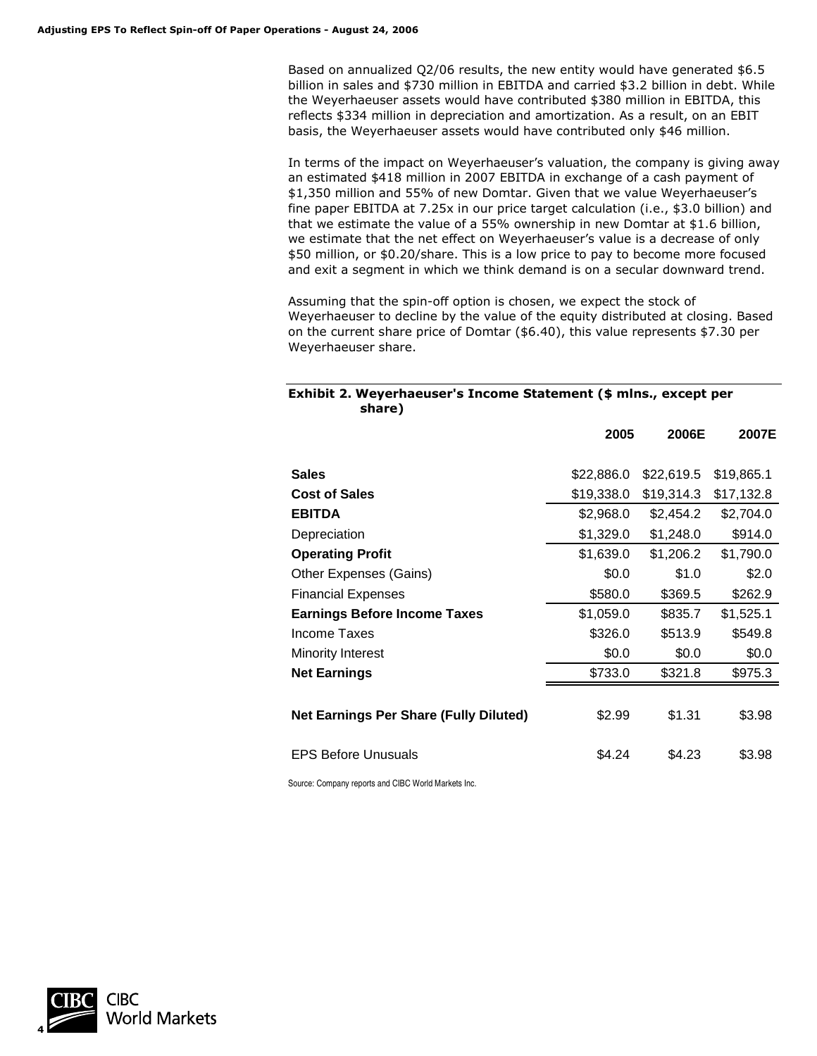Based on annualized Q2/06 results, the new entity would have generated \$6.5 billion in sales and \$730 million in EBITDA and carried \$3.2 billion in debt. While the Weyerhaeuser assets would have contributed \$380 million in EBITDA, this reflects \$334 million in depreciation and amortization. As a result, on an EBIT basis, the Weyerhaeuser assets would have contributed only \$46 million.

In terms of the impact on Weyerhaeuser's valuation, the company is giving away an estimated \$418 million in 2007 EBITDA in exchange of a cash payment of \$1,350 million and 55% of new Domtar. Given that we value Weyerhaeuser's fine paper EBITDA at 7.25x in our price target calculation (i.e., \$3.0 billion) and that we estimate the value of a 55% ownership in new Domtar at \$1.6 billion, we estimate that the net effect on Weyerhaeuser's value is a decrease of only \$50 million, or \$0.20/share. This is a low price to pay to become more focused and exit a segment in which we think demand is on a secular downward trend.

Assuming that the spin-off option is chosen, we expect the stock of Weyerhaeuser to decline by the value of the equity distributed at closing. Based on the current share price of Domtar (\$6.40), this value represents \$7.30 per Weyerhaeuser share.

#### **Exhibit 2. Weyerhaeuser's Income Statement (\$ mlns., except per share)**

|                                               | 2005       | 2006E      | 2007E      |
|-----------------------------------------------|------------|------------|------------|
| <b>Sales</b>                                  | \$22,886.0 | \$22,619.5 | \$19,865.1 |
| <b>Cost of Sales</b>                          | \$19,338.0 | \$19,314.3 | \$17,132.8 |
| <b>EBITDA</b>                                 | \$2,968.0  | \$2,454.2  | \$2,704.0  |
| Depreciation                                  | \$1,329.0  | \$1,248.0  | \$914.0    |
| <b>Operating Profit</b>                       | \$1,639.0  | \$1,206.2  | \$1,790.0  |
| Other Expenses (Gains)                        | \$0.0      | \$1.0      | \$2.0      |
| <b>Financial Expenses</b>                     | \$580.0    | \$369.5    | \$262.9    |
| <b>Earnings Before Income Taxes</b>           | \$1,059.0  | \$835.7    | \$1,525.1  |
| Income Taxes                                  | \$326.0    | \$513.9    | \$549.8    |
| <b>Minority Interest</b>                      | \$0.0      | \$0.0      | \$0.0      |
| <b>Net Earnings</b>                           | \$733.0    | \$321.8    | \$975.3    |
| <b>Net Earnings Per Share (Fully Diluted)</b> | \$2.99     | \$1.31     | \$3.98     |
| <b>EPS Before Unusuals</b>                    | \$4.24     | \$4.23     | \$3.98     |
|                                               |            |            |            |

Source: Company reports and CIBC World Markets Inc.

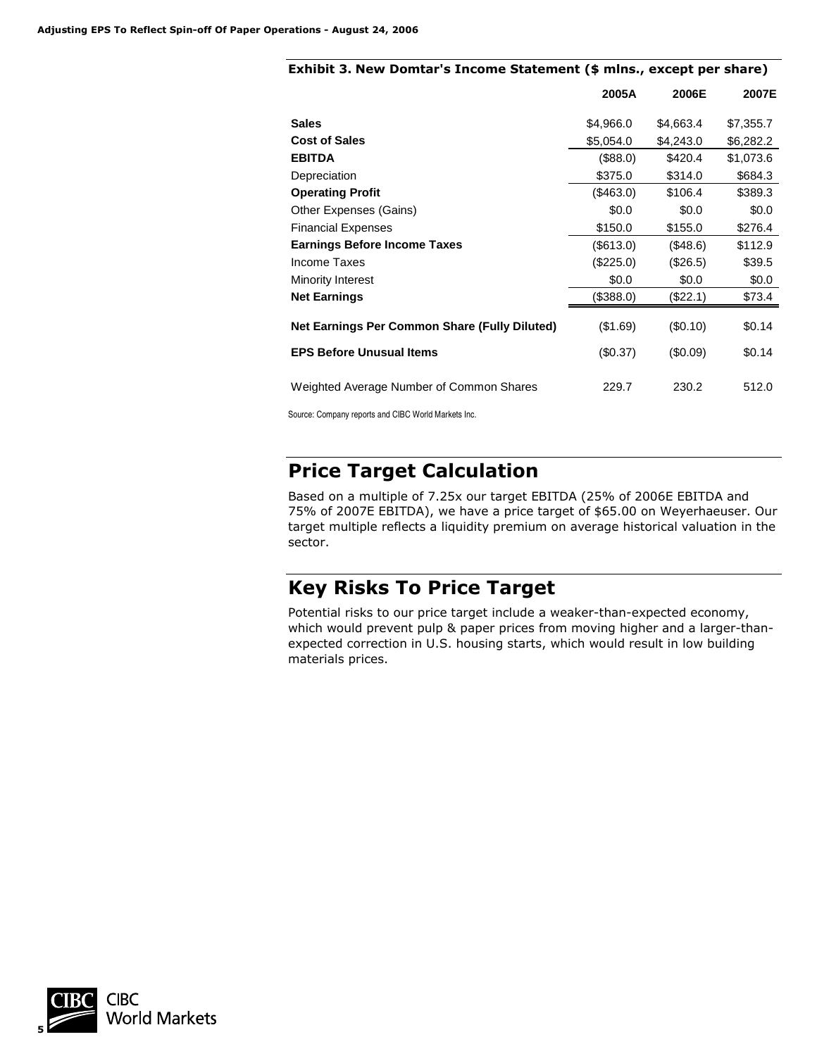|                                               | 2005A        | 2006E       | 2007E     |
|-----------------------------------------------|--------------|-------------|-----------|
| <b>Sales</b>                                  | \$4,966.0    | \$4,663.4   | \$7,355.7 |
| <b>Cost of Sales</b>                          | \$5,054.0    | \$4,243.0   | \$6,282.2 |
| <b>EBITDA</b>                                 | (\$88.0)     | \$420.4     | \$1,073.6 |
| Depreciation                                  | \$375.0      | \$314.0     | \$684.3   |
| <b>Operating Profit</b>                       | (\$463.0)    | \$106.4     | \$389.3   |
| Other Expenses (Gains)                        | \$0.0        | \$0.0       | \$0.0     |
| <b>Financial Expenses</b>                     | \$150.0      | \$155.0     | \$276.4   |
| <b>Earnings Before Income Taxes</b>           | $($ \$613.0) | $($ \$48.6) | \$112.9   |
| Income Taxes                                  | (\$225.0)    | (\$26.5)    | \$39.5    |
| Minority Interest                             | \$0.0        | \$0.0       | \$0.0     |
| <b>Net Earnings</b>                           | (\$388.0)    | (\$22.1)    | \$73.4    |
| Net Earnings Per Common Share (Fully Diluted) | ( \$1.69)    | (S0.10)     | \$0.14    |
| <b>EPS Before Unusual Items</b>               | $(\$0.37)$   | (S0.09)     | \$0.14    |
| Weighted Average Number of Common Shares      | 229.7        | 230.2       | 512.0     |

### **Exhibit 3. New Domtar's Income Statement (\$ mlns., except per share)**

Source: Company reports and CIBC World Markets Inc.

## **Price Target Calculation**

Based on a multiple of 7.25x our target EBITDA (25% of 2006E EBITDA and 75% of 2007E EBITDA), we have a price target of \$65.00 on Weyerhaeuser. Our target multiple reflects a liquidity premium on average historical valuation in the sector.

## **Key Risks To Price Target**

Potential risks to our price target include a weaker-than-expected economy, which would prevent pulp & paper prices from moving higher and a larger-thanexpected correction in U.S. housing starts, which would result in low building materials prices.

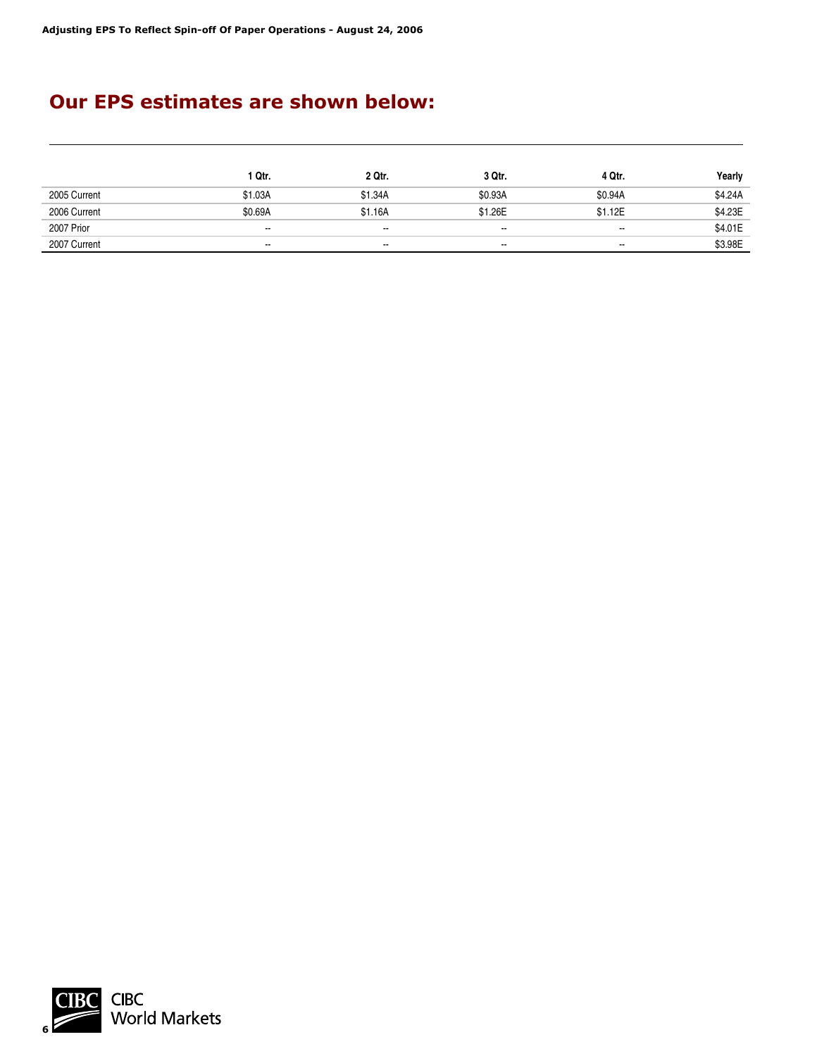## **Our EPS estimates are shown below:**

|              | 1 Qtr.  | 2 Qtr.  | 3 Qtr.  | 4 Qtr.  | Yearly  |
|--------------|---------|---------|---------|---------|---------|
| 2005 Current | \$1.03A | \$1.34A | \$0.93A | \$0.94A | \$4.24A |
| 2006 Current | \$0.69A | \$1.16A | \$1.26E | \$1.12E | \$4.23E |
| 2007 Prior   | $\sim$  | $\sim$  | $\sim$  | $\sim$  | \$4.01E |
| 2007 Current | $\sim$  | $\sim$  | $\sim$  | $\sim$  | \$3.98E |

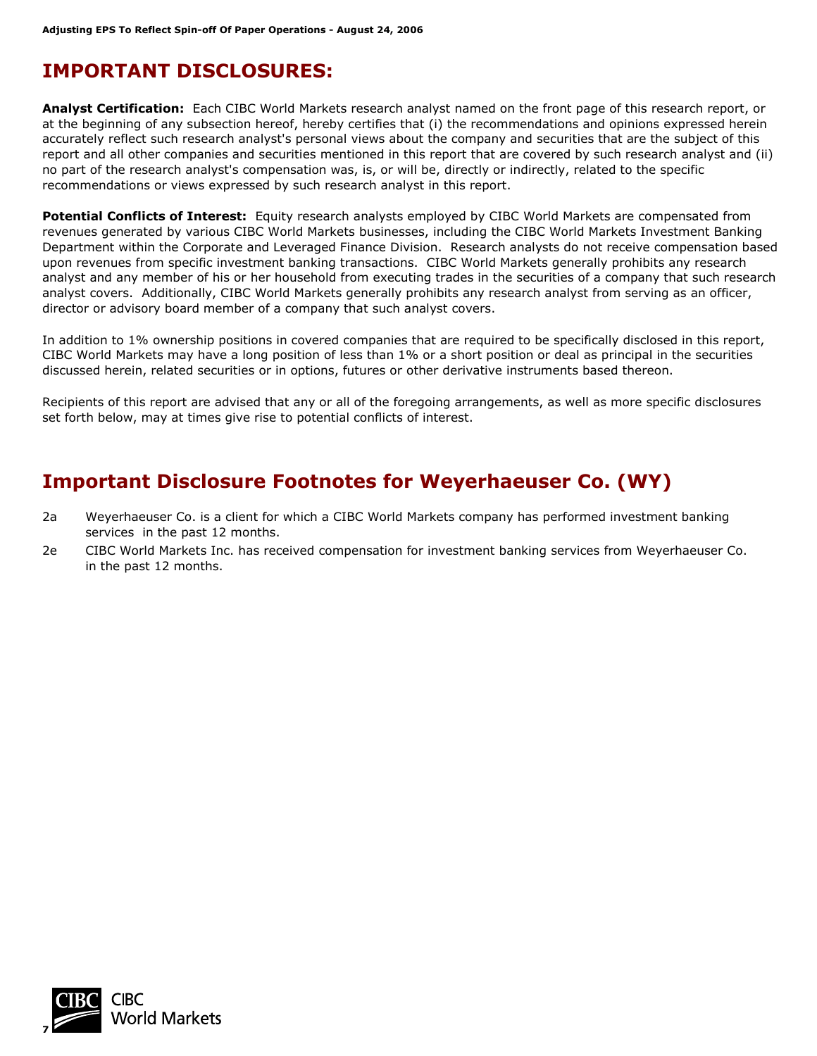## **IMPORTANT DISCLOSURES:**

**Analyst Certification:** Each CIBC World Markets research analyst named on the front page of this research report, or at the beginning of any subsection hereof, hereby certifies that (i) the recommendations and opinions expressed herein accurately reflect such research analyst's personal views about the company and securities that are the subject of this report and all other companies and securities mentioned in this report that are covered by such research analyst and (ii) no part of the research analyst's compensation was, is, or will be, directly or indirectly, related to the specific recommendations or views expressed by such research analyst in this report.

**Potential Conflicts of Interest:** Equity research analysts employed by CIBC World Markets are compensated from revenues generated by various CIBC World Markets businesses, including the CIBC World Markets Investment Banking Department within the Corporate and Leveraged Finance Division. Research analysts do not receive compensation based upon revenues from specific investment banking transactions. CIBC World Markets generally prohibits any research analyst and any member of his or her household from executing trades in the securities of a company that such research analyst covers. Additionally, CIBC World Markets generally prohibits any research analyst from serving as an officer, director or advisory board member of a company that such analyst covers.

In addition to 1% ownership positions in covered companies that are required to be specifically disclosed in this report, CIBC World Markets may have a long position of less than 1% or a short position or deal as principal in the securities discussed herein, related securities or in options, futures or other derivative instruments based thereon.

Recipients of this report are advised that any or all of the foregoing arrangements, as well as more specific disclosures set forth below, may at times give rise to potential conflicts of interest.

## **Important Disclosure Footnotes for Weyerhaeuser Co. (WY)**

- 2a Weyerhaeuser Co. is a client for which a CIBC World Markets company has performed investment banking services in the past 12 months.
- 2e CIBC World Markets Inc. has received compensation for investment banking services from Weyerhaeuser Co. in the past 12 months.

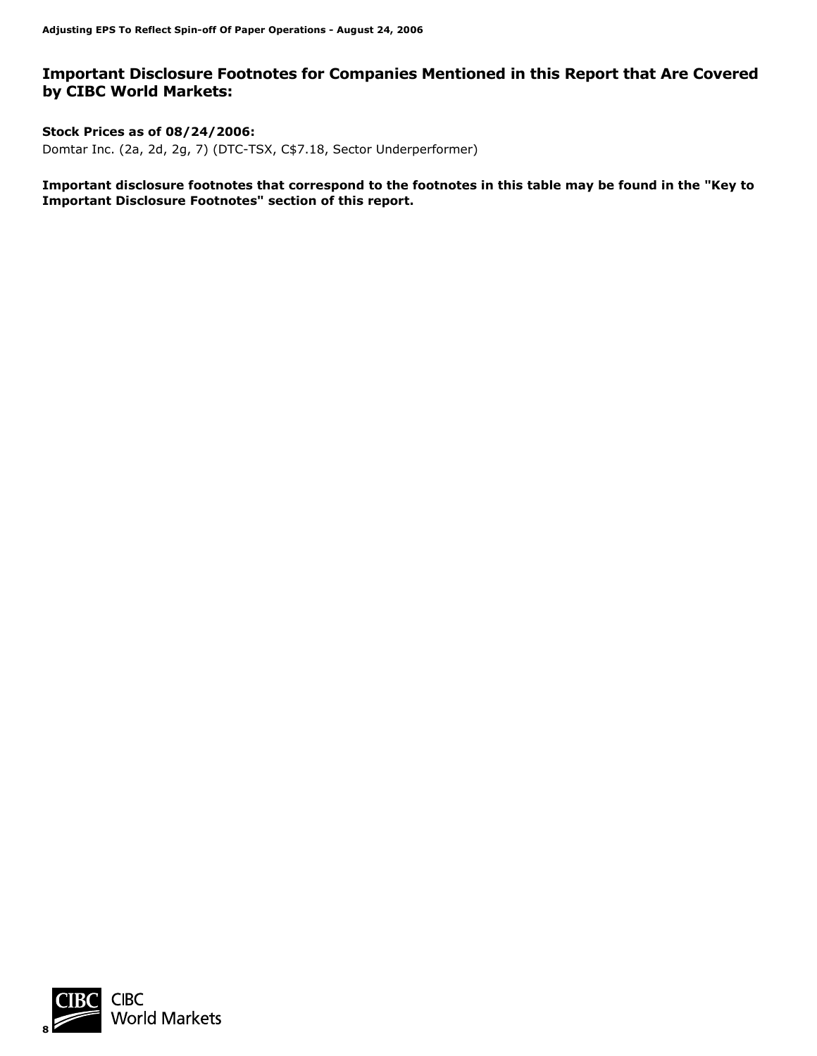### **Important Disclosure Footnotes for Companies Mentioned in this Report that Are Covered by CIBC World Markets:**

**Stock Prices as of 08/24/2006:**  Domtar Inc. (2a, 2d, 2g, 7) (DTC-TSX, C\$7.18, Sector Underperformer)

**Important disclosure footnotes that correspond to the footnotes in this table may be found in the "Key to Important Disclosure Footnotes" section of this report.** 

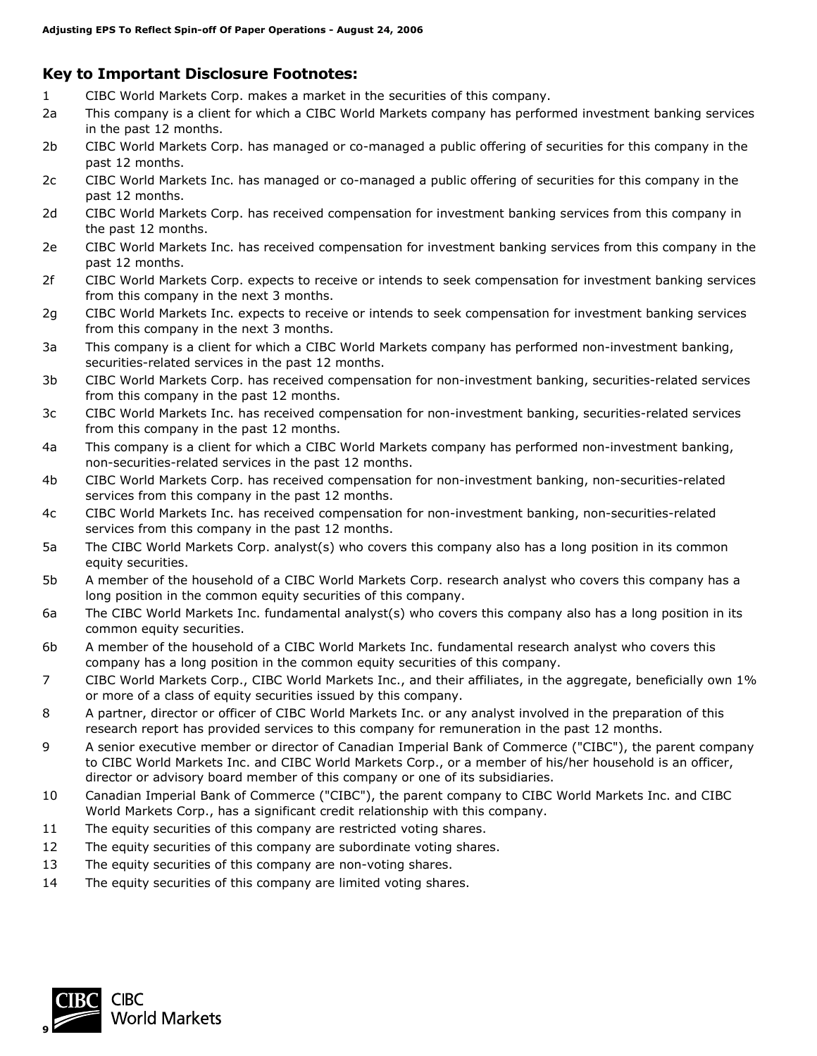## **Key to Important Disclosure Footnotes:**

- 1 CIBC World Markets Corp. makes a market in the securities of this company.
- 2a This company is a client for which a CIBC World Markets company has performed investment banking services in the past 12 months.
- 2b CIBC World Markets Corp. has managed or co-managed a public offering of securities for this company in the past 12 months.
- 2c CIBC World Markets Inc. has managed or co-managed a public offering of securities for this company in the past 12 months.
- 2d CIBC World Markets Corp. has received compensation for investment banking services from this company in the past 12 months.
- 2e CIBC World Markets Inc. has received compensation for investment banking services from this company in the past 12 months.
- 2f CIBC World Markets Corp. expects to receive or intends to seek compensation for investment banking services from this company in the next 3 months.
- 2g CIBC World Markets Inc. expects to receive or intends to seek compensation for investment banking services from this company in the next 3 months.
- 3a This company is a client for which a CIBC World Markets company has performed non-investment banking, securities-related services in the past 12 months.
- 3b CIBC World Markets Corp. has received compensation for non-investment banking, securities-related services from this company in the past 12 months.
- 3c CIBC World Markets Inc. has received compensation for non-investment banking, securities-related services from this company in the past 12 months.
- 4a This company is a client for which a CIBC World Markets company has performed non-investment banking, non-securities-related services in the past 12 months.
- 4b CIBC World Markets Corp. has received compensation for non-investment banking, non-securities-related services from this company in the past 12 months.
- 4c CIBC World Markets Inc. has received compensation for non-investment banking, non-securities-related services from this company in the past 12 months.
- 5a The CIBC World Markets Corp. analyst(s) who covers this company also has a long position in its common equity securities.
- 5b A member of the household of a CIBC World Markets Corp. research analyst who covers this company has a long position in the common equity securities of this company.
- 6a The CIBC World Markets Inc. fundamental analyst(s) who covers this company also has a long position in its common equity securities.
- 6b A member of the household of a CIBC World Markets Inc. fundamental research analyst who covers this company has a long position in the common equity securities of this company.
- 7 CIBC World Markets Corp., CIBC World Markets Inc., and their affiliates, in the aggregate, beneficially own 1% or more of a class of equity securities issued by this company.
- 8 A partner, director or officer of CIBC World Markets Inc. or any analyst involved in the preparation of this research report has provided services to this company for remuneration in the past 12 months.
- 9 A senior executive member or director of Canadian Imperial Bank of Commerce ("CIBC"), the parent company to CIBC World Markets Inc. and CIBC World Markets Corp., or a member of his/her household is an officer, director or advisory board member of this company or one of its subsidiaries.
- 10 Canadian Imperial Bank of Commerce ("CIBC"), the parent company to CIBC World Markets Inc. and CIBC World Markets Corp., has a significant credit relationship with this company.
- 11 The equity securities of this company are restricted voting shares.
- 12 The equity securities of this company are subordinate voting shares.
- 13 The equity securities of this company are non-voting shares.
- 14 The equity securities of this company are limited voting shares.

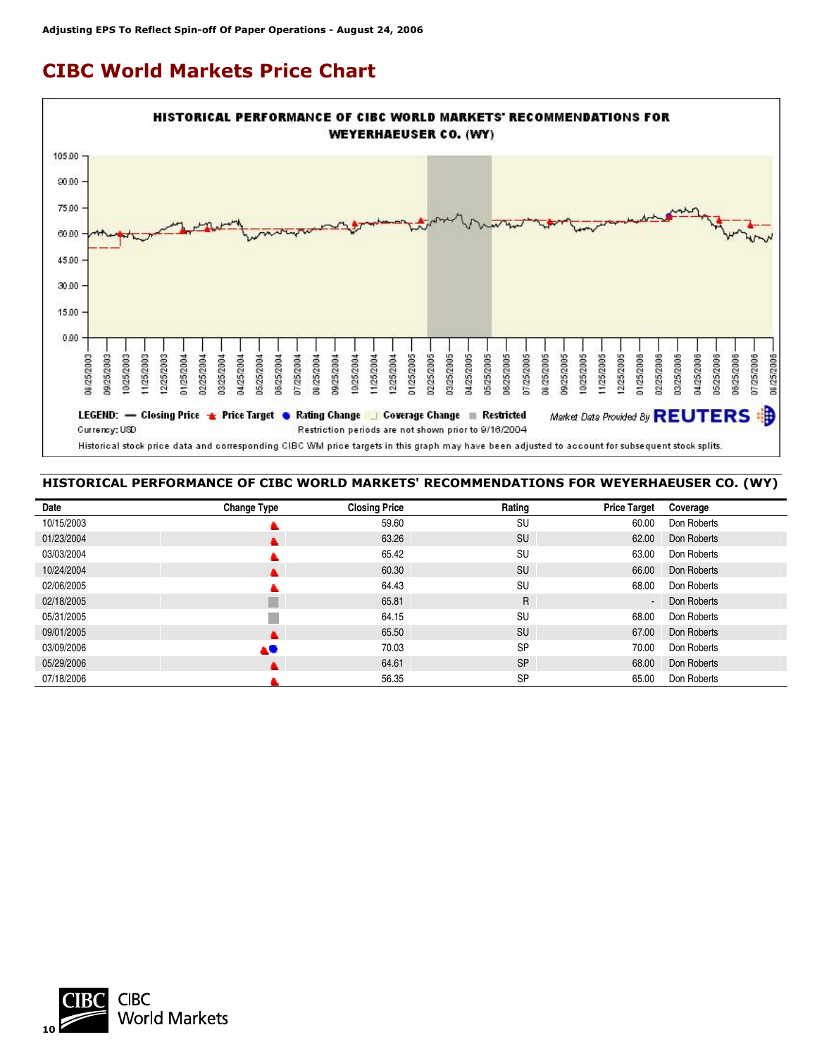## **CIBC World Markets Price Chart**



#### **HISTORICAL PERFORMANCE OF CIBC WORLD MARKETS' RECOMMENDATIONS FOR WEYERHAEUSER CO. (WY)**

| Date       | <b>Change Type</b> | <b>Closing Price</b> | Rating    | <b>Price Target</b> | Coverage    |
|------------|--------------------|----------------------|-----------|---------------------|-------------|
| 10/15/2003 |                    | 59.60                | <b>SU</b> | 60.00               | Don Roberts |
| 01/23/2004 |                    | 63.26                | SU        | 62.00               | Don Roberts |
| 03/03/2004 |                    | 65.42                | SU        | 63.00               | Don Roberts |
| 10/24/2004 |                    | 60.30                | <b>SU</b> | 66.00               | Don Roberts |
| 02/06/2005 |                    | 64.43                | <b>SU</b> | 68.00               | Don Roberts |
| 02/18/2005 |                    | 65.81                | R.        | $\sim$              | Don Roberts |
| 05/31/2005 |                    | 64.15                | <b>SU</b> | 68.00               | Don Roberts |
| 09/01/2005 |                    | 65.50                | SU        | 67.00               | Don Roberts |
| 03/09/2006 | AU.                | 70.03                | <b>SP</b> | 70.00               | Don Roberts |
| 05/29/2006 |                    | 64.61                | <b>SP</b> | 68.00               | Don Roberts |
| 07/18/2006 |                    | 56.35                | <b>SP</b> | 65.00               | Don Roberts |

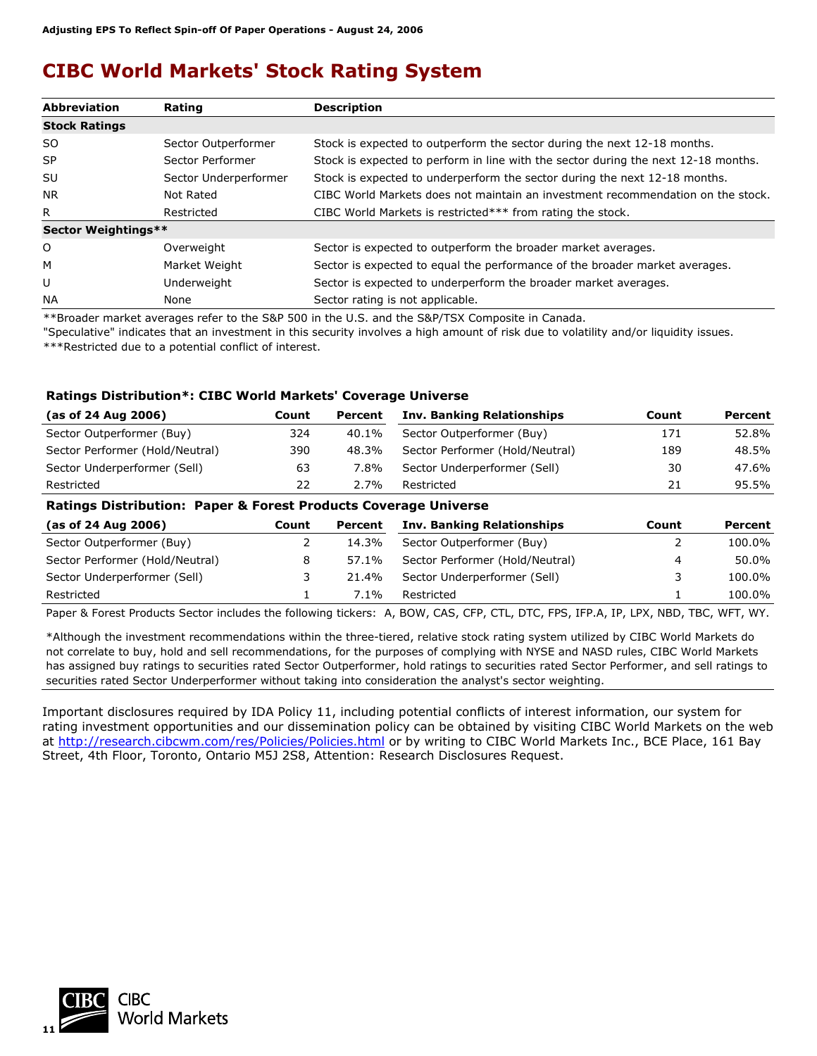## **CIBC World Markets' Stock Rating System**

| <b>Abbreviation</b>  | Rating                | <b>Description</b>                                                                 |
|----------------------|-----------------------|------------------------------------------------------------------------------------|
| <b>Stock Ratings</b> |                       |                                                                                    |
| SO.                  | Sector Outperformer   | Stock is expected to outperform the sector during the next 12-18 months.           |
| <b>SP</b>            | Sector Performer      | Stock is expected to perform in line with the sector during the next 12-18 months. |
| SU                   | Sector Underperformer | Stock is expected to underperform the sector during the next 12-18 months.         |
| NR.                  | Not Rated             | CIBC World Markets does not maintain an investment recommendation on the stock.    |
| R.                   | Restricted            | CIBC World Markets is restricted*** from rating the stock.                         |
| Sector Weightings**  |                       |                                                                                    |
| O                    | Overweight            | Sector is expected to outperform the broader market averages.                      |
| М                    | Market Weight         | Sector is expected to equal the performance of the broader market averages.        |
| U                    | Underweight           | Sector is expected to underperform the broader market averages.                    |
| <b>NA</b>            | None                  | Sector rating is not applicable.                                                   |

\*\*Broader market averages refer to the S&P 500 in the U.S. and the S&P/TSX Composite in Canada.

"Speculative" indicates that an investment in this security involves a high amount of risk due to volatility and/or liquidity issues. \*\*\*Restricted due to a potential conflict of interest.

#### **Ratings Distribution\*: CIBC World Markets' Coverage Universe**

| (as of 24 Aug 2006)             | Count | Percent | <b>Inv. Banking Relationships</b> | Count | Percent |
|---------------------------------|-------|---------|-----------------------------------|-------|---------|
| Sector Outperformer (Buy)       | 324   | 40.1%   | Sector Outperformer (Buy)         | 171   | 52.8%   |
| Sector Performer (Hold/Neutral) | 390   | 48.3%   | Sector Performer (Hold/Neutral)   | 189   | 48.5%   |
| Sector Underperformer (Sell)    | 63    | 7.8%    | Sector Underperformer (Sell)      | 30    | 47.6%   |
| Restricted                      | 22    | $2.7\%$ | Restricted                        | 21    | 95.5%   |
|                                 |       |         |                                   |       |         |

#### **Ratings Distribution: Paper & Forest Products Coverage Universe**

| Count | Percent | <b>Inv. Banking Relationships</b> | Count | Percent |
|-------|---------|-----------------------------------|-------|---------|
|       | 14.3%   | Sector Outperformer (Buy)         |       | 100.0%  |
|       | 57.1%   | Sector Performer (Hold/Neutral)   | 4     | 50.0%   |
|       | 21.4%   | Sector Underperformer (Sell)      |       | 100.0%  |
|       | 7.1%    | Restricted                        |       | 100.0%  |
|       |         |                                   |       |         |

Paper & Forest Products Sector includes the following tickers: A, BOW, CAS, CFP, CTL, DTC, FPS, IFP.A, IP, LPX, NBD, TBC, WFT, WY.

\*Although the investment recommendations within the three-tiered, relative stock rating system utilized by CIBC World Markets do not correlate to buy, hold and sell recommendations, for the purposes of complying with NYSE and NASD rules, CIBC World Markets has assigned buy ratings to securities rated Sector Outperformer, hold ratings to securities rated Sector Performer, and sell ratings to securities rated Sector Underperformer without taking into consideration the analyst's sector weighting.

Important disclosures required by IDA Policy 11, including potential conflicts of interest information, our system for rating investment opportunities and our dissemination policy can be obtained by visiting CIBC World Markets on the web at<http://research.cibcwm.com/res/Policies/Policies.html> or by writing to CIBC World Markets Inc., BCE Place, 161 Bay Street, 4th Floor, Toronto, Ontario M5J 2S8, Attention: Research Disclosures Request.